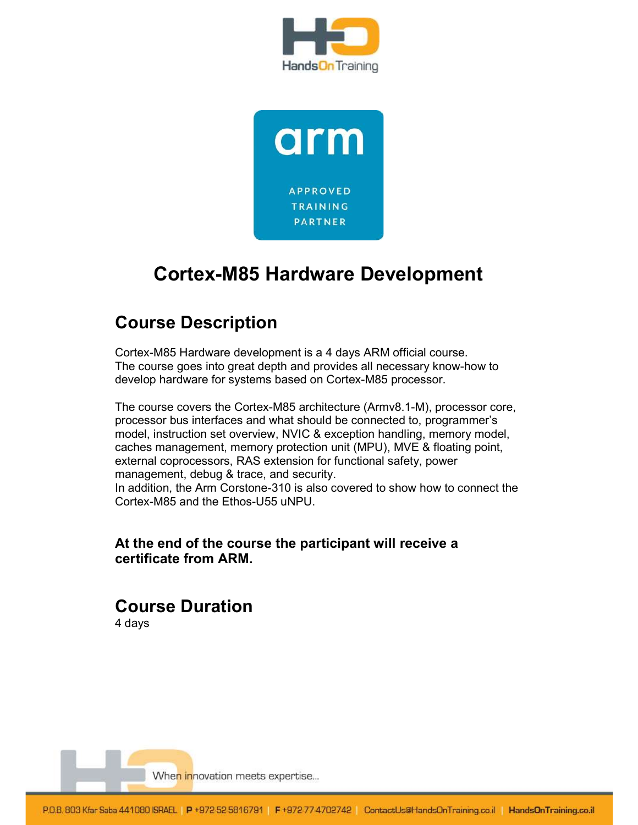



## Cortex-M85 Hardware Development

### Course Description

Cortex-M85 Hardware development is a 4 days ARM official course. The course goes into great depth and provides all necessary know-how to develop hardware for systems based on Cortex-M85 processor.

The course covers the Cortex-M85 architecture (Armv8.1-M), processor core, processor bus interfaces and what should be connected to, programmer's model, instruction set overview, NVIC & exception handling, memory model, caches management, memory protection unit (MPU), MVE & floating point, external coprocessors, RAS extension for functional safety, power management, debug & trace, and security.

In addition, the Arm Corstone-310 is also covered to show how to connect the Cortex-M85 and the Ethos-U55 uNPU.

#### At the end of the course the participant will receive a certificate from ARM.

# Course Duration

4 days

Whe<mark>n in</mark>novation meets expertise...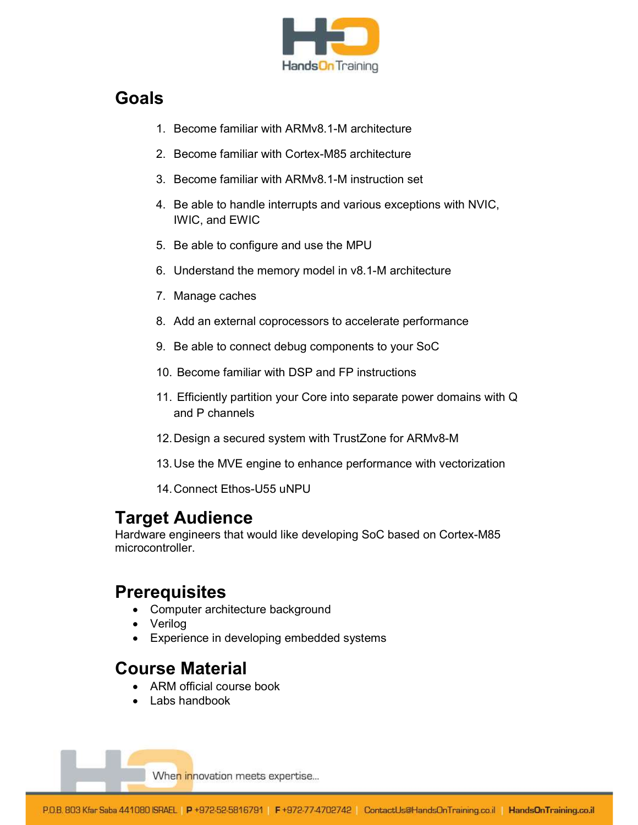

#### Goals

- 1. Become familiar with ARMv8.1-M architecture
- 2. Become familiar with Cortex-M85 architecture
- 3. Become familiar with ARMv8.1-M instruction set
- 4. Be able to handle interrupts and various exceptions with NVIC, IWIC, and EWIC
- 5. Be able to configure and use the MPU
- 6. Understand the memory model in v8.1-M architecture
- 7. Manage caches
- 8. Add an external coprocessors to accelerate performance
- 9. Be able to connect debug components to your SoC
- 10. Become familiar with DSP and FP instructions
- 11. Efficiently partition your Core into separate power domains with Q and P channels
- 12. Design a secured system with TrustZone for ARMv8-M
- 13. Use the MVE engine to enhance performance with vectorization
- 14. Connect Ethos-U55 uNPU

#### Target Audience

Hardware engineers that would like developing SoC based on Cortex-M85 microcontroller.

#### **Prerequisites**

- Computer architecture background
- Verilog
- Experience in developing embedded systems

#### Course Material

- ARM official course book
- Labs handbook

Whe<mark>n in</mark>novation meets expertise...